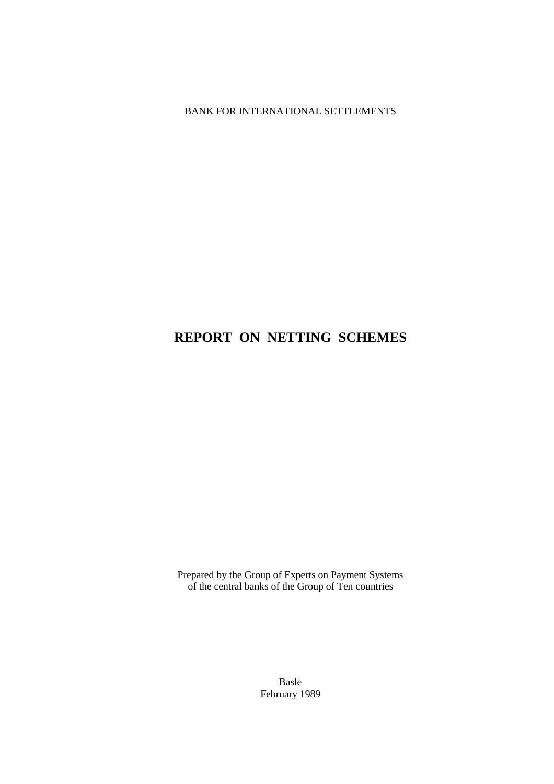BANK FOR INTERNATIONAL SETTLEMENTS

# **REPORT ON NETTING SCHEMES**

Prepared by the Group of Experts on Payment Systems of the central banks of the Group of Ten countries

> Basle February 1989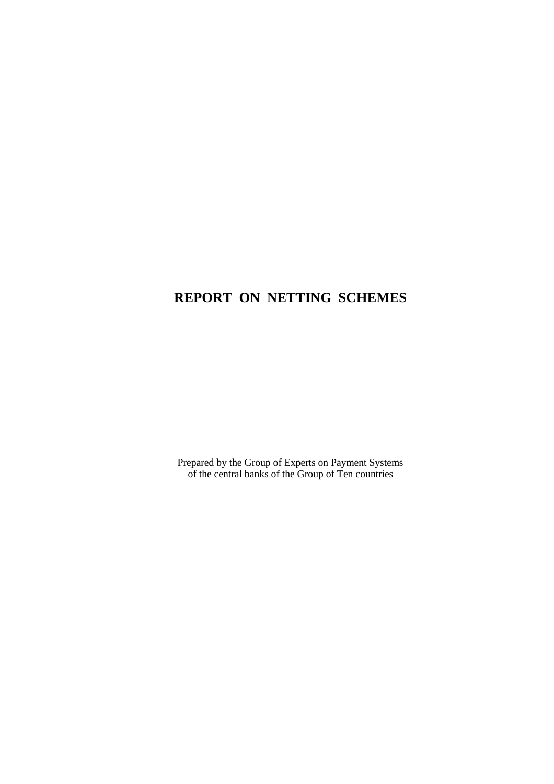# **REPORT ON NETTING SCHEMES**

Prepared by the Group of Experts on Payment Systems of the central banks of the Group of Ten countries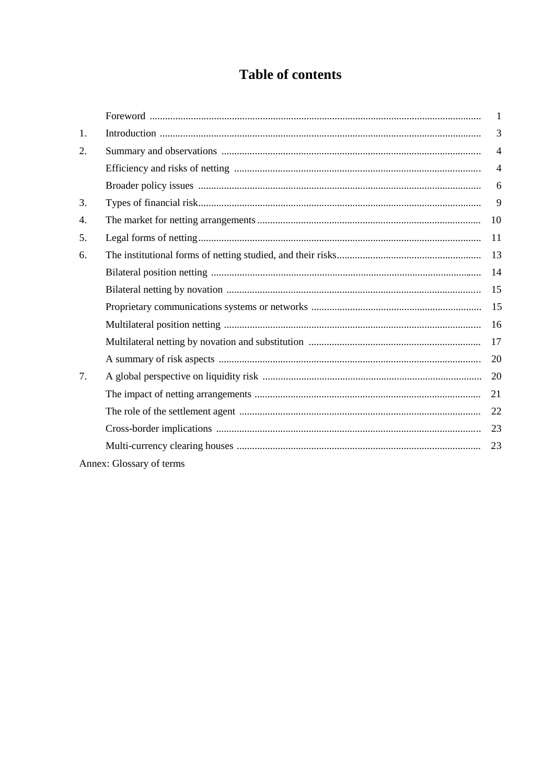# **Table of contents**

|                                 |                          | $\mathbf{1}$   |
|---------------------------------|--------------------------|----------------|
| 1.                              |                          | 3              |
| 2.                              |                          | $\overline{4}$ |
|                                 |                          | $\overline{4}$ |
|                                 |                          | 6              |
| 3.                              |                          | 9              |
| 4.                              |                          | 10             |
| 5.                              |                          | 11             |
| 6.                              |                          | 13             |
|                                 |                          | 14             |
|                                 |                          | 15             |
|                                 |                          | 15             |
|                                 |                          | 16             |
|                                 |                          | 17             |
|                                 |                          | 20             |
| $7_{\scriptscriptstyle{\circ}}$ |                          | 20             |
|                                 |                          | 21             |
|                                 |                          | 22             |
|                                 |                          | 23             |
|                                 |                          | 23             |
|                                 | Annex: Glossary of terms |                |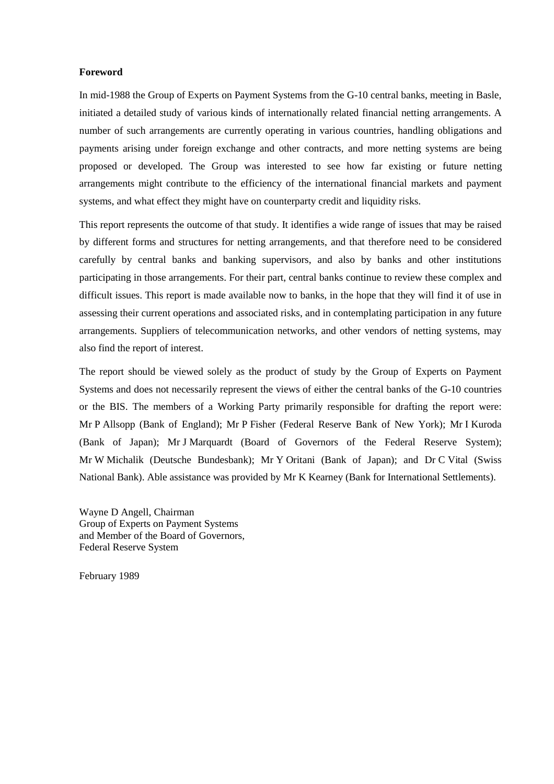#### **Foreword**

In mid-1988 the Group of Experts on Payment Systems from the G-10 central banks, meeting in Basle, initiated a detailed study of various kinds of internationally related financial netting arrangements. A number of such arrangements are currently operating in various countries, handling obligations and payments arising under foreign exchange and other contracts, and more netting systems are being proposed or developed. The Group was interested to see how far existing or future netting arrangements might contribute to the efficiency of the international financial markets and payment systems, and what effect they might have on counterparty credit and liquidity risks.

This report represents the outcome of that study. It identifies a wide range of issues that may be raised by different forms and structures for netting arrangements, and that therefore need to be considered carefully by central banks and banking supervisors, and also by banks and other institutions participating in those arrangements. For their part, central banks continue to review these complex and difficult issues. This report is made available now to banks, in the hope that they will find it of use in assessing their current operations and associated risks, and in contemplating participation in any future arrangements. Suppliers of telecommunication networks, and other vendors of netting systems, may also find the report of interest.

The report should be viewed solely as the product of study by the Group of Experts on Payment Systems and does not necessarily represent the views of either the central banks of the G-10 countries or the BIS. The members of a Working Party primarily responsible for drafting the report were: Mr P Allsopp (Bank of England); Mr P Fisher (Federal Reserve Bank of New York); Mr I Kuroda (Bank of Japan); Mr J Marquardt (Board of Governors of the Federal Reserve System); Mr W Michalik (Deutsche Bundesbank); Mr Y Oritani (Bank of Japan); and Dr C Vital (Swiss National Bank). Able assistance was provided by Mr K Kearney (Bank for International Settlements).

Wayne D Angell, Chairman Group of Experts on Payment Systems and Member of the Board of Governors, Federal Reserve System

February 1989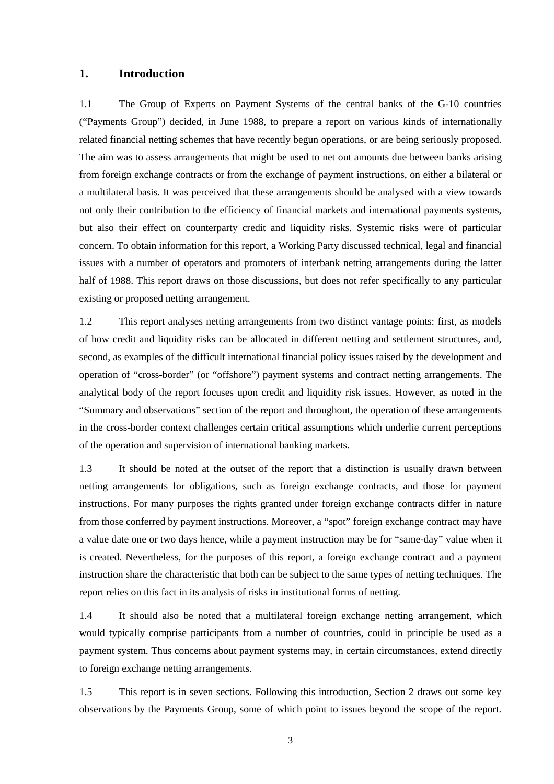### **1. Introduction**

1.1 The Group of Experts on Payment Systems of the central banks of the G-10 countries ("Payments Group") decided, in June 1988, to prepare a report on various kinds of internationally related financial netting schemes that have recently begun operations, or are being seriously proposed. The aim was to assess arrangements that might be used to net out amounts due between banks arising from foreign exchange contracts or from the exchange of payment instructions, on either a bilateral or a multilateral basis. It was perceived that these arrangements should be analysed with a view towards not only their contribution to the efficiency of financial markets and international payments systems, but also their effect on counterparty credit and liquidity risks. Systemic risks were of particular concern. To obtain information for this report, a Working Party discussed technical, legal and financial issues with a number of operators and promoters of interbank netting arrangements during the latter half of 1988. This report draws on those discussions, but does not refer specifically to any particular existing or proposed netting arrangement.

1.2 This report analyses netting arrangements from two distinct vantage points: first, as models of how credit and liquidity risks can be allocated in different netting and settlement structures, and, second, as examples of the difficult international financial policy issues raised by the development and operation of "cross-border" (or "offshore") payment systems and contract netting arrangements. The analytical body of the report focuses upon credit and liquidity risk issues. However, as noted in the "Summary and observations" section of the report and throughout, the operation of these arrangements in the cross-border context challenges certain critical assumptions which underlie current perceptions of the operation and supervision of international banking markets.

1.3 It should be noted at the outset of the report that a distinction is usually drawn between netting arrangements for obligations, such as foreign exchange contracts, and those for payment instructions. For many purposes the rights granted under foreign exchange contracts differ in nature from those conferred by payment instructions. Moreover, a "spot" foreign exchange contract may have a value date one or two days hence, while a payment instruction may be for "same-day" value when it is created. Nevertheless, for the purposes of this report, a foreign exchange contract and a payment instruction share the characteristic that both can be subject to the same types of netting techniques. The report relies on this fact in its analysis of risks in institutional forms of netting.

1.4 It should also be noted that a multilateral foreign exchange netting arrangement, which would typically comprise participants from a number of countries, could in principle be used as a payment system. Thus concerns about payment systems may, in certain circumstances, extend directly to foreign exchange netting arrangements.

1.5 This report is in seven sections. Following this introduction, Section 2 draws out some key observations by the Payments Group, some of which point to issues beyond the scope of the report.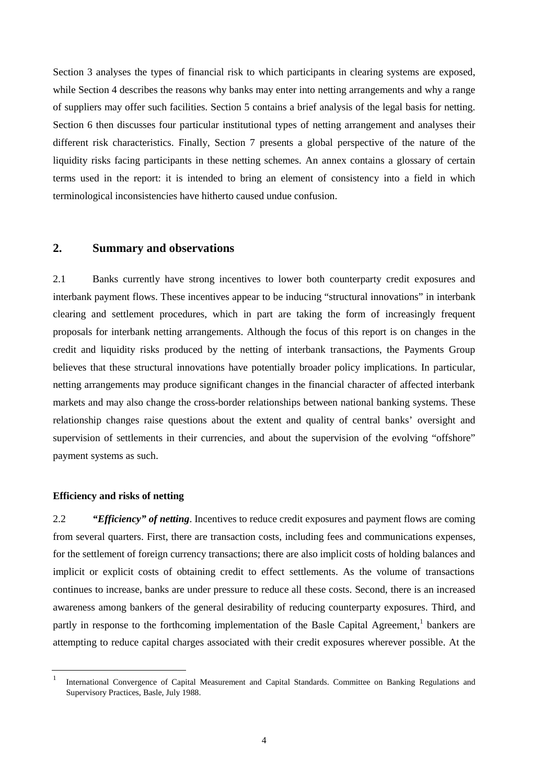Section 3 analyses the types of financial risk to which participants in clearing systems are exposed, while Section 4 describes the reasons why banks may enter into netting arrangements and why a range of suppliers may offer such facilities. Section 5 contains a brief analysis of the legal basis for netting. Section 6 then discusses four particular institutional types of netting arrangement and analyses their different risk characteristics. Finally, Section 7 presents a global perspective of the nature of the liquidity risks facing participants in these netting schemes. An annex contains a glossary of certain terms used in the report: it is intended to bring an element of consistency into a field in which terminological inconsistencies have hitherto caused undue confusion.

# **2. Summary and observations**

2.1 Banks currently have strong incentives to lower both counterparty credit exposures and interbank payment flows. These incentives appear to be inducing "structural innovations" in interbank clearing and settlement procedures, which in part are taking the form of increasingly frequent proposals for interbank netting arrangements. Although the focus of this report is on changes in the credit and liquidity risks produced by the netting of interbank transactions, the Payments Group believes that these structural innovations have potentially broader policy implications. In particular, netting arrangements may produce significant changes in the financial character of affected interbank markets and may also change the cross-border relationships between national banking systems. These relationship changes raise questions about the extent and quality of central banks' oversight and supervision of settlements in their currencies, and about the supervision of the evolving "offshore" payment systems as such.

#### **Efficiency and risks of netting**

2.2 *"Efficiency" of netting*. Incentives to reduce credit exposures and payment flows are coming from several quarters. First, there are transaction costs, including fees and communications expenses, for the settlement of foreign currency transactions; there are also implicit costs of holding balances and implicit or explicit costs of obtaining credit to effect settlements. As the volume of transactions continues to increase, banks are under pressure to reduce all these costs. Second, there is an increased awareness among bankers of the general desirability of reducing counterparty exposures. Third, and partly in response to the forthcoming implementation of the Basle Capital Agreement,<sup>1</sup> bankers are attempting to reduce capital charges associated with their credit exposures wherever possible. At the

<sup>1</sup> International Convergence of Capital Measurement and Capital Standards. Committee on Banking Regulations and Supervisory Practices, Basle, July 1988.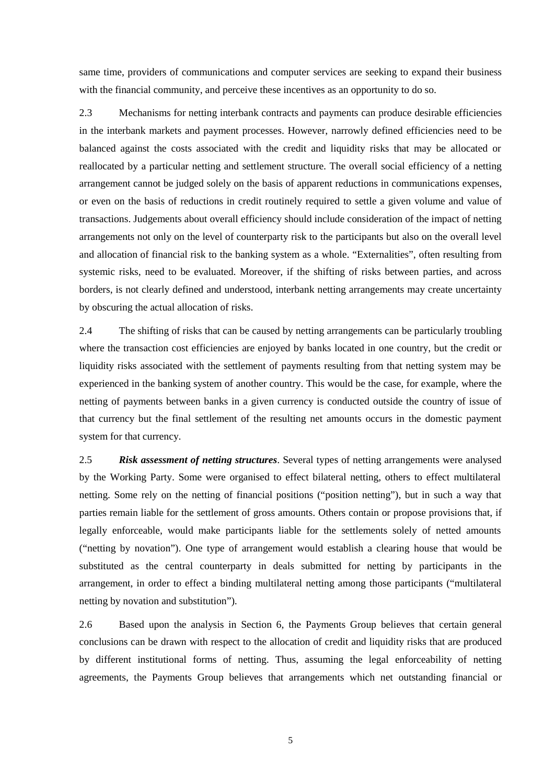same time, providers of communications and computer services are seeking to expand their business with the financial community, and perceive these incentives as an opportunity to do so.

2.3 Mechanisms for netting interbank contracts and payments can produce desirable efficiencies in the interbank markets and payment processes. However, narrowly defined efficiencies need to be balanced against the costs associated with the credit and liquidity risks that may be allocated or reallocated by a particular netting and settlement structure. The overall social efficiency of a netting arrangement cannot be judged solely on the basis of apparent reductions in communications expenses, or even on the basis of reductions in credit routinely required to settle a given volume and value of transactions. Judgements about overall efficiency should include consideration of the impact of netting arrangements not only on the level of counterparty risk to the participants but also on the overall level and allocation of financial risk to the banking system as a whole. "Externalities", often resulting from systemic risks, need to be evaluated. Moreover, if the shifting of risks between parties, and across borders, is not clearly defined and understood, interbank netting arrangements may create uncertainty by obscuring the actual allocation of risks.

2.4 The shifting of risks that can be caused by netting arrangements can be particularly troubling where the transaction cost efficiencies are enjoyed by banks located in one country, but the credit or liquidity risks associated with the settlement of payments resulting from that netting system may be experienced in the banking system of another country. This would be the case, for example, where the netting of payments between banks in a given currency is conducted outside the country of issue of that currency but the final settlement of the resulting net amounts occurs in the domestic payment system for that currency.

2.5 *Risk assessment of netting structures*. Several types of netting arrangements were analysed by the Working Party. Some were organised to effect bilateral netting, others to effect multilateral netting. Some rely on the netting of financial positions ("position netting"), but in such a way that parties remain liable for the settlement of gross amounts. Others contain or propose provisions that, if legally enforceable, would make participants liable for the settlements solely of netted amounts ("netting by novation"). One type of arrangement would establish a clearing house that would be substituted as the central counterparty in deals submitted for netting by participants in the arrangement, in order to effect a binding multilateral netting among those participants ("multilateral netting by novation and substitution").

2.6 Based upon the analysis in Section 6, the Payments Group believes that certain general conclusions can be drawn with respect to the allocation of credit and liquidity risks that are produced by different institutional forms of netting. Thus, assuming the legal enforceability of netting agreements, the Payments Group believes that arrangements which net outstanding financial or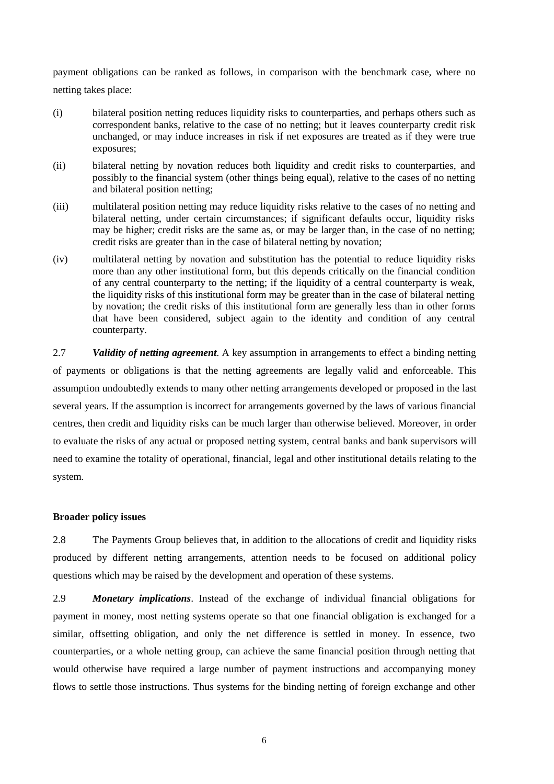payment obligations can be ranked as follows, in comparison with the benchmark case, where no netting takes place:

- (i) bilateral position netting reduces liquidity risks to counterparties, and perhaps others such as correspondent banks, relative to the case of no netting; but it leaves counterparty credit risk unchanged, or may induce increases in risk if net exposures are treated as if they were true exposures;
- (ii) bilateral netting by novation reduces both liquidity and credit risks to counterparties, and possibly to the financial system (other things being equal), relative to the cases of no netting and bilateral position netting;
- (iii) multilateral position netting may reduce liquidity risks relative to the cases of no netting and bilateral netting, under certain circumstances; if significant defaults occur, liquidity risks may be higher; credit risks are the same as, or may be larger than, in the case of no netting; credit risks are greater than in the case of bilateral netting by novation;
- (iv) multilateral netting by novation and substitution has the potential to reduce liquidity risks more than any other institutional form, but this depends critically on the financial condition of any central counterparty to the netting; if the liquidity of a central counterparty is weak, the liquidity risks of this institutional form may be greater than in the case of bilateral netting by novation; the credit risks of this institutional form are generally less than in other forms that have been considered, subject again to the identity and condition of any central counterparty.

2.7 *Validity of netting agreement*. A key assumption in arrangements to effect a binding netting of payments or obligations is that the netting agreements are legally valid and enforceable. This assumption undoubtedly extends to many other netting arrangements developed or proposed in the last several years. If the assumption is incorrect for arrangements governed by the laws of various financial centres, then credit and liquidity risks can be much larger than otherwise believed. Moreover, in order to evaluate the risks of any actual or proposed netting system, central banks and bank supervisors will need to examine the totality of operational, financial, legal and other institutional details relating to the system.

#### **Broader policy issues**

2.8 The Payments Group believes that, in addition to the allocations of credit and liquidity risks produced by different netting arrangements, attention needs to be focused on additional policy questions which may be raised by the development and operation of these systems.

2.9 *Monetary implications*. Instead of the exchange of individual financial obligations for payment in money, most netting systems operate so that one financial obligation is exchanged for a similar, offsetting obligation, and only the net difference is settled in money. In essence, two counterparties, or a whole netting group, can achieve the same financial position through netting that would otherwise have required a large number of payment instructions and accompanying money flows to settle those instructions. Thus systems for the binding netting of foreign exchange and other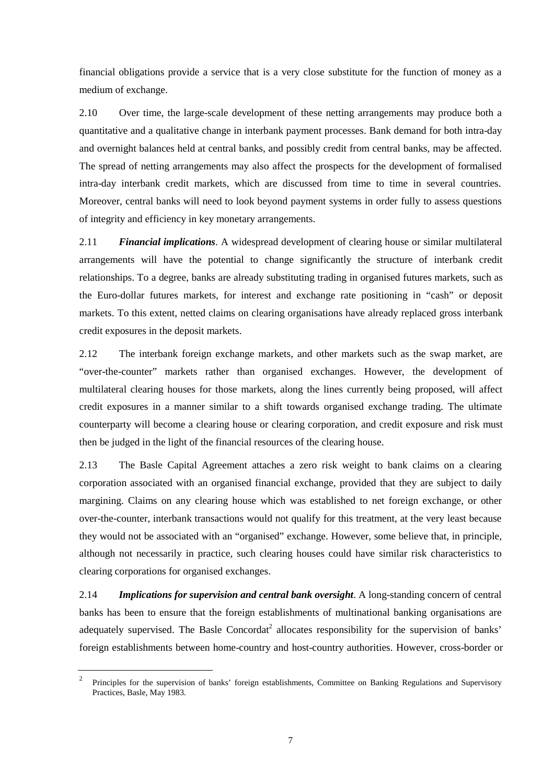financial obligations provide a service that is a very close substitute for the function of money as a medium of exchange.

2.10 Over time, the large-scale development of these netting arrangements may produce both a quantitative and a qualitative change in interbank payment processes. Bank demand for both intra-day and overnight balances held at central banks, and possibly credit from central banks, may be affected. The spread of netting arrangements may also affect the prospects for the development of formalised intra-day interbank credit markets, which are discussed from time to time in several countries. Moreover, central banks will need to look beyond payment systems in order fully to assess questions of integrity and efficiency in key monetary arrangements.

2.11 *Financial implications*. A widespread development of clearing house or similar multilateral arrangements will have the potential to change significantly the structure of interbank credit relationships. To a degree, banks are already substituting trading in organised futures markets, such as the Euro-dollar futures markets, for interest and exchange rate positioning in "cash" or deposit markets. To this extent, netted claims on clearing organisations have already replaced gross interbank credit exposures in the deposit markets.

2.12 The interbank foreign exchange markets, and other markets such as the swap market, are "over-the-counter" markets rather than organised exchanges. However, the development of multilateral clearing houses for those markets, along the lines currently being proposed, will affect credit exposures in a manner similar to a shift towards organised exchange trading. The ultimate counterparty will become a clearing house or clearing corporation, and credit exposure and risk must then be judged in the light of the financial resources of the clearing house.

2.13 The Basle Capital Agreement attaches a zero risk weight to bank claims on a clearing corporation associated with an organised financial exchange, provided that they are subject to daily margining. Claims on any clearing house which was established to net foreign exchange, or other over-the-counter, interbank transactions would not qualify for this treatment, at the very least because they would not be associated with an "organised" exchange. However, some believe that, in principle, although not necessarily in practice, such clearing houses could have similar risk characteristics to clearing corporations for organised exchanges.

2.14 *Implications for supervision and central bank oversight*. A long-standing concern of central banks has been to ensure that the foreign establishments of multinational banking organisations are adequately supervised. The Basle Concordat<sup>2</sup> allocates responsibility for the supervision of banks' foreign establishments between home-country and host-country authorities. However, cross-border or

<sup>&</sup>lt;sup>2</sup> Principles for the supervision of banks' foreign establishments, Committee on Banking Regulations and Supervisory Practices, Basle, May 1983.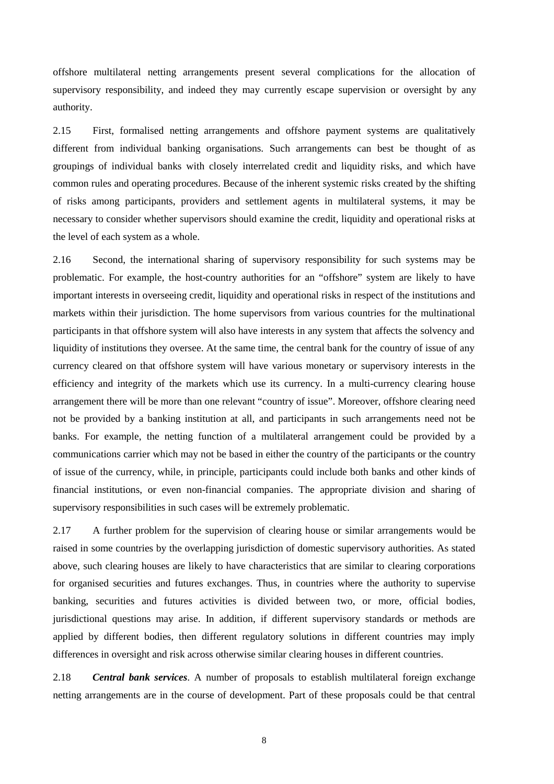offshore multilateral netting arrangements present several complications for the allocation of supervisory responsibility, and indeed they may currently escape supervision or oversight by any authority.

2.15 First, formalised netting arrangements and offshore payment systems are qualitatively different from individual banking organisations. Such arrangements can best be thought of as groupings of individual banks with closely interrelated credit and liquidity risks, and which have common rules and operating procedures. Because of the inherent systemic risks created by the shifting of risks among participants, providers and settlement agents in multilateral systems, it may be necessary to consider whether supervisors should examine the credit, liquidity and operational risks at the level of each system as a whole.

2.16 Second, the international sharing of supervisory responsibility for such systems may be problematic. For example, the host-country authorities for an "offshore" system are likely to have important interests in overseeing credit, liquidity and operational risks in respect of the institutions and markets within their jurisdiction. The home supervisors from various countries for the multinational participants in that offshore system will also have interests in any system that affects the solvency and liquidity of institutions they oversee. At the same time, the central bank for the country of issue of any currency cleared on that offshore system will have various monetary or supervisory interests in the efficiency and integrity of the markets which use its currency. In a multi-currency clearing house arrangement there will be more than one relevant "country of issue". Moreover, offshore clearing need not be provided by a banking institution at all, and participants in such arrangements need not be banks. For example, the netting function of a multilateral arrangement could be provided by a communications carrier which may not be based in either the country of the participants or the country of issue of the currency, while, in principle, participants could include both banks and other kinds of financial institutions, or even non-financial companies. The appropriate division and sharing of supervisory responsibilities in such cases will be extremely problematic.

2.17 A further problem for the supervision of clearing house or similar arrangements would be raised in some countries by the overlapping jurisdiction of domestic supervisory authorities. As stated above, such clearing houses are likely to have characteristics that are similar to clearing corporations for organised securities and futures exchanges. Thus, in countries where the authority to supervise banking, securities and futures activities is divided between two, or more, official bodies, jurisdictional questions may arise. In addition, if different supervisory standards or methods are applied by different bodies, then different regulatory solutions in different countries may imply differences in oversight and risk across otherwise similar clearing houses in different countries.

2.18 *Central bank services*. A number of proposals to establish multilateral foreign exchange netting arrangements are in the course of development. Part of these proposals could be that central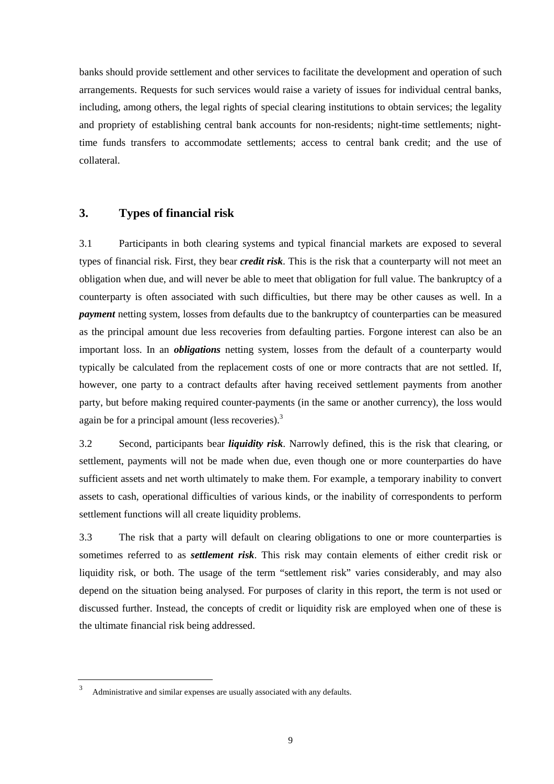banks should provide settlement and other services to facilitate the development and operation of such arrangements. Requests for such services would raise a variety of issues for individual central banks, including, among others, the legal rights of special clearing institutions to obtain services; the legality and propriety of establishing central bank accounts for non-residents; night-time settlements; nighttime funds transfers to accommodate settlements; access to central bank credit; and the use of collateral.

# **3. Types of financial risk**

3.1 Participants in both clearing systems and typical financial markets are exposed to several types of financial risk. First, they bear *credit risk*. This is the risk that a counterparty will not meet an obligation when due, and will never be able to meet that obligation for full value. The bankruptcy of a counterparty is often associated with such difficulties, but there may be other causes as well. In a *payment* netting system, losses from defaults due to the bankruptcy of counterparties can be measured as the principal amount due less recoveries from defaulting parties. Forgone interest can also be an important loss. In an *obligations* netting system, losses from the default of a counterparty would typically be calculated from the replacement costs of one or more contracts that are not settled. If, however, one party to a contract defaults after having received settlement payments from another party, but before making required counter-payments (in the same or another currency), the loss would again be for a principal amount (less recoveries). $3$ 

3.2 Second, participants bear *liquidity risk*. Narrowly defined, this is the risk that clearing, or settlement, payments will not be made when due, even though one or more counterparties do have sufficient assets and net worth ultimately to make them. For example, a temporary inability to convert assets to cash, operational difficulties of various kinds, or the inability of correspondents to perform settlement functions will all create liquidity problems.

3.3 The risk that a party will default on clearing obligations to one or more counterparties is sometimes referred to as *settlement risk*. This risk may contain elements of either credit risk or liquidity risk, or both. The usage of the term "settlement risk" varies considerably, and may also depend on the situation being analysed. For purposes of clarity in this report, the term is not used or discussed further. Instead, the concepts of credit or liquidity risk are employed when one of these is the ultimate financial risk being addressed.

Administrative and similar expenses are usually associated with any defaults.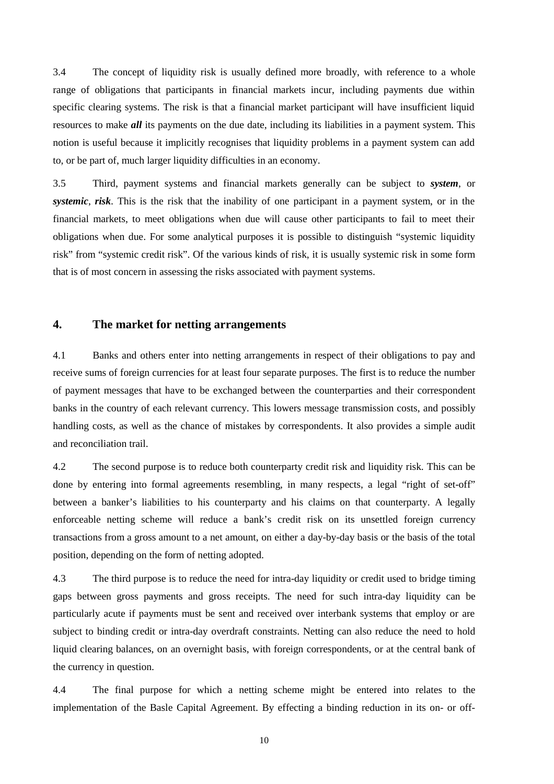3.4 The concept of liquidity risk is usually defined more broadly, with reference to a whole range of obligations that participants in financial markets incur, including payments due within specific clearing systems. The risk is that a financial market participant will have insufficient liquid resources to make *all* its payments on the due date, including its liabilities in a payment system. This notion is useful because it implicitly recognises that liquidity problems in a payment system can add to, or be part of, much larger liquidity difficulties in an economy.

3.5 Third, payment systems and financial markets generally can be subject to *system*, or *systemic*, *risk*. This is the risk that the inability of one participant in a payment system, or in the financial markets, to meet obligations when due will cause other participants to fail to meet their obligations when due. For some analytical purposes it is possible to distinguish "systemic liquidity risk" from "systemic credit risk". Of the various kinds of risk, it is usually systemic risk in some form that is of most concern in assessing the risks associated with payment systems.

# **4. The market for netting arrangements**

4.1 Banks and others enter into netting arrangements in respect of their obligations to pay and receive sums of foreign currencies for at least four separate purposes. The first is to reduce the number of payment messages that have to be exchanged between the counterparties and their correspondent banks in the country of each relevant currency. This lowers message transmission costs, and possibly handling costs, as well as the chance of mistakes by correspondents. It also provides a simple audit and reconciliation trail.

4.2 The second purpose is to reduce both counterparty credit risk and liquidity risk. This can be done by entering into formal agreements resembling, in many respects, a legal "right of set-off" between a banker's liabilities to his counterparty and his claims on that counterparty. A legally enforceable netting scheme will reduce a bank's credit risk on its unsettled foreign currency transactions from a gross amount to a net amount, on either a day-by-day basis or the basis of the total position, depending on the form of netting adopted.

4.3 The third purpose is to reduce the need for intra-day liquidity or credit used to bridge timing gaps between gross payments and gross receipts. The need for such intra-day liquidity can be particularly acute if payments must be sent and received over interbank systems that employ or are subject to binding credit or intra-day overdraft constraints. Netting can also reduce the need to hold liquid clearing balances, on an overnight basis, with foreign correspondents, or at the central bank of the currency in question.

4.4 The final purpose for which a netting scheme might be entered into relates to the implementation of the Basle Capital Agreement. By effecting a binding reduction in its on- or off-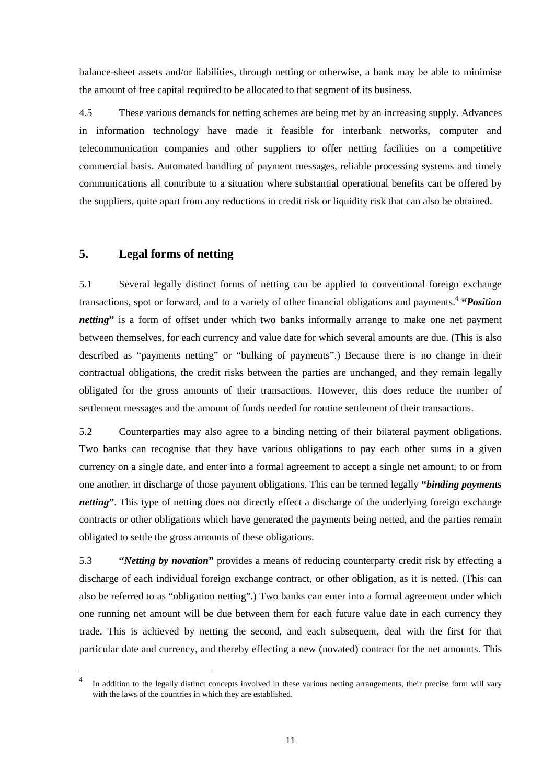balance-sheet assets and/or liabilities, through netting or otherwise, a bank may be able to minimise the amount of free capital required to be allocated to that segment of its business.

4.5 These various demands for netting schemes are being met by an increasing supply. Advances in information technology have made it feasible for interbank networks, computer and telecommunication companies and other suppliers to offer netting facilities on a competitive commercial basis. Automated handling of payment messages, reliable processing systems and timely communications all contribute to a situation where substantial operational benefits can be offered by the suppliers, quite apart from any reductions in credit risk or liquidity risk that can also be obtained.

# **5. Legal forms of netting**

5.1 Several legally distinct forms of netting can be applied to conventional foreign exchange transactions, spot or forward, and to a variety of other financial obligations and payments.4 **"***Position netting*" is a form of offset under which two banks informally arrange to make one net payment between themselves, for each currency and value date for which several amounts are due. (This is also described as "payments netting" or "bulking of payments".) Because there is no change in their contractual obligations, the credit risks between the parties are unchanged, and they remain legally obligated for the gross amounts of their transactions. However, this does reduce the number of settlement messages and the amount of funds needed for routine settlement of their transactions.

5.2 Counterparties may also agree to a binding netting of their bilateral payment obligations. Two banks can recognise that they have various obligations to pay each other sums in a given currency on a single date, and enter into a formal agreement to accept a single net amount, to or from one another, in discharge of those payment obligations. This can be termed legally **"***binding payments netting*". This type of netting does not directly effect a discharge of the underlying foreign exchange contracts or other obligations which have generated the payments being netted, and the parties remain obligated to settle the gross amounts of these obligations.

5.3 **"***Netting by novation***"** provides a means of reducing counterparty credit risk by effecting a discharge of each individual foreign exchange contract, or other obligation, as it is netted. (This can also be referred to as "obligation netting".) Two banks can enter into a formal agreement under which one running net amount will be due between them for each future value date in each currency they trade. This is achieved by netting the second, and each subsequent, deal with the first for that particular date and currency, and thereby effecting a new (novated) contract for the net amounts. This

In addition to the legally distinct concepts involved in these various netting arrangements, their precise form will vary with the laws of the countries in which they are established.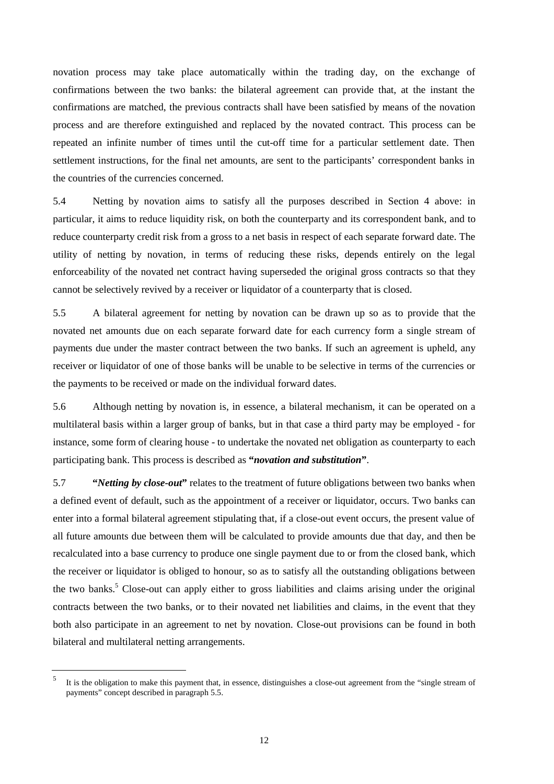novation process may take place automatically within the trading day, on the exchange of confirmations between the two banks: the bilateral agreement can provide that, at the instant the confirmations are matched, the previous contracts shall have been satisfied by means of the novation process and are therefore extinguished and replaced by the novated contract. This process can be repeated an infinite number of times until the cut-off time for a particular settlement date. Then settlement instructions, for the final net amounts, are sent to the participants' correspondent banks in the countries of the currencies concerned.

5.4 Netting by novation aims to satisfy all the purposes described in Section 4 above: in particular, it aims to reduce liquidity risk, on both the counterparty and its correspondent bank, and to reduce counterparty credit risk from a gross to a net basis in respect of each separate forward date. The utility of netting by novation, in terms of reducing these risks, depends entirely on the legal enforceability of the novated net contract having superseded the original gross contracts so that they cannot be selectively revived by a receiver or liquidator of a counterparty that is closed.

5.5 A bilateral agreement for netting by novation can be drawn up so as to provide that the novated net amounts due on each separate forward date for each currency form a single stream of payments due under the master contract between the two banks. If such an agreement is upheld, any receiver or liquidator of one of those banks will be unable to be selective in terms of the currencies or the payments to be received or made on the individual forward dates.

5.6 Although netting by novation is, in essence, a bilateral mechanism, it can be operated on a multilateral basis within a larger group of banks, but in that case a third party may be employed - for instance, some form of clearing house - to undertake the novated net obligation as counterparty to each participating bank. This process is described as **"***novation and substitution***"**.

5.7 **"***Netting by close-out***"** relates to the treatment of future obligations between two banks when a defined event of default, such as the appointment of a receiver or liquidator, occurs. Two banks can enter into a formal bilateral agreement stipulating that, if a close-out event occurs, the present value of all future amounts due between them will be calculated to provide amounts due that day, and then be recalculated into a base currency to produce one single payment due to or from the closed bank, which the receiver or liquidator is obliged to honour, so as to satisfy all the outstanding obligations between the two banks.<sup>5</sup> Close-out can apply either to gross liabilities and claims arising under the original contracts between the two banks, or to their novated net liabilities and claims, in the event that they both also participate in an agreement to net by novation. Close-out provisions can be found in both bilateral and multilateral netting arrangements.

<sup>5</sup> It is the obligation to make this payment that, in essence, distinguishes a close-out agreement from the "single stream of payments" concept described in paragraph 5.5.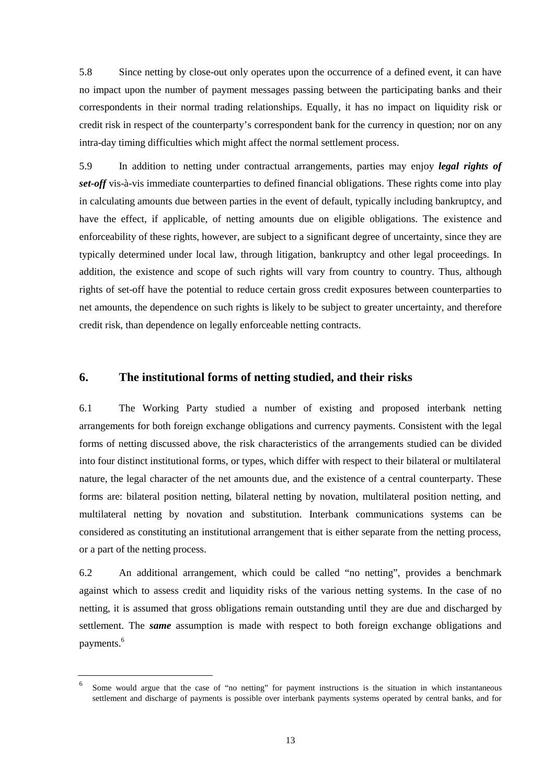5.8 Since netting by close-out only operates upon the occurrence of a defined event, it can have no impact upon the number of payment messages passing between the participating banks and their correspondents in their normal trading relationships. Equally, it has no impact on liquidity risk or credit risk in respect of the counterparty's correspondent bank for the currency in question; nor on any intra-day timing difficulties which might affect the normal settlement process.

5.9 In addition to netting under contractual arrangements, parties may enjoy *legal rights of set-off* vis-à-vis immediate counterparties to defined financial obligations. These rights come into play in calculating amounts due between parties in the event of default, typically including bankruptcy, and have the effect, if applicable, of netting amounts due on eligible obligations. The existence and enforceability of these rights, however, are subject to a significant degree of uncertainty, since they are typically determined under local law, through litigation, bankruptcy and other legal proceedings. In addition, the existence and scope of such rights will vary from country to country. Thus, although rights of set-off have the potential to reduce certain gross credit exposures between counterparties to net amounts, the dependence on such rights is likely to be subject to greater uncertainty, and therefore credit risk, than dependence on legally enforceable netting contracts.

### **6. The institutional forms of netting studied, and their risks**

6.1 The Working Party studied a number of existing and proposed interbank netting arrangements for both foreign exchange obligations and currency payments. Consistent with the legal forms of netting discussed above, the risk characteristics of the arrangements studied can be divided into four distinct institutional forms, or types, which differ with respect to their bilateral or multilateral nature, the legal character of the net amounts due, and the existence of a central counterparty. These forms are: bilateral position netting, bilateral netting by novation, multilateral position netting, and multilateral netting by novation and substitution. Interbank communications systems can be considered as constituting an institutional arrangement that is either separate from the netting process, or a part of the netting process.

6.2 An additional arrangement, which could be called "no netting", provides a benchmark against which to assess credit and liquidity risks of the various netting systems. In the case of no netting, it is assumed that gross obligations remain outstanding until they are due and discharged by settlement. The *same* assumption is made with respect to both foreign exchange obligations and payments.<sup>6</sup>

<sup>6</sup> Some would argue that the case of "no netting" for payment instructions is the situation in which instantaneous settlement and discharge of payments is possible over interbank payments systems operated by central banks, and for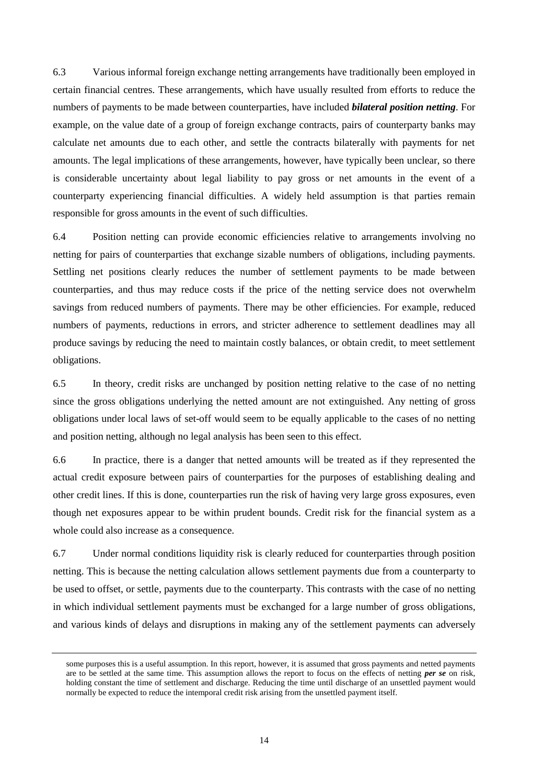6.3 Various informal foreign exchange netting arrangements have traditionally been employed in certain financial centres. These arrangements, which have usually resulted from efforts to reduce the numbers of payments to be made between counterparties, have included *bilateral position netting*. For example, on the value date of a group of foreign exchange contracts, pairs of counterparty banks may calculate net amounts due to each other, and settle the contracts bilaterally with payments for net amounts. The legal implications of these arrangements, however, have typically been unclear, so there is considerable uncertainty about legal liability to pay gross or net amounts in the event of a counterparty experiencing financial difficulties. A widely held assumption is that parties remain responsible for gross amounts in the event of such difficulties.

6.4 Position netting can provide economic efficiencies relative to arrangements involving no netting for pairs of counterparties that exchange sizable numbers of obligations, including payments. Settling net positions clearly reduces the number of settlement payments to be made between counterparties, and thus may reduce costs if the price of the netting service does not overwhelm savings from reduced numbers of payments. There may be other efficiencies. For example, reduced numbers of payments, reductions in errors, and stricter adherence to settlement deadlines may all produce savings by reducing the need to maintain costly balances, or obtain credit, to meet settlement obligations.

6.5 In theory, credit risks are unchanged by position netting relative to the case of no netting since the gross obligations underlying the netted amount are not extinguished. Any netting of gross obligations under local laws of set-off would seem to be equally applicable to the cases of no netting and position netting, although no legal analysis has been seen to this effect.

6.6 In practice, there is a danger that netted amounts will be treated as if they represented the actual credit exposure between pairs of counterparties for the purposes of establishing dealing and other credit lines. If this is done, counterparties run the risk of having very large gross exposures, even though net exposures appear to be within prudent bounds. Credit risk for the financial system as a whole could also increase as a consequence.

6.7 Under normal conditions liquidity risk is clearly reduced for counterparties through position netting. This is because the netting calculation allows settlement payments due from a counterparty to be used to offset, or settle, payments due to the counterparty. This contrasts with the case of no netting in which individual settlement payments must be exchanged for a large number of gross obligations, and various kinds of delays and disruptions in making any of the settlement payments can adversely

some purposes this is a useful assumption. In this report, however, it is assumed that gross payments and netted payments are to be settled at the same time. This assumption allows the report to focus on the effects of netting *per se* on risk, holding constant the time of settlement and discharge. Reducing the time until discharge of an unsettled payment would normally be expected to reduce the intemporal credit risk arising from the unsettled payment itself.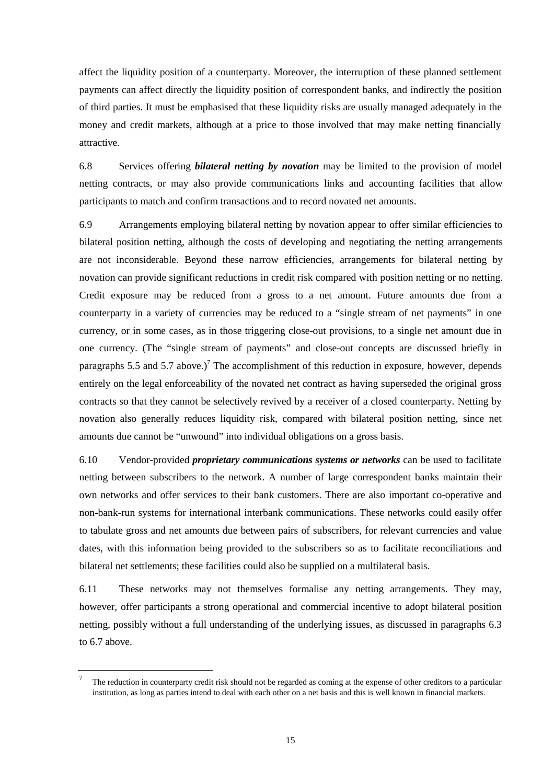affect the liquidity position of a counterparty. Moreover, the interruption of these planned settlement payments can affect directly the liquidity position of correspondent banks, and indirectly the position of third parties. It must be emphasised that these liquidity risks are usually managed adequately in the money and credit markets, although at a price to those involved that may make netting financially attractive.

6.8 Services offering *bilateral netting by novation* may be limited to the provision of model netting contracts, or may also provide communications links and accounting facilities that allow participants to match and confirm transactions and to record novated net amounts.

6.9 Arrangements employing bilateral netting by novation appear to offer similar efficiencies to bilateral position netting, although the costs of developing and negotiating the netting arrangements are not inconsiderable. Beyond these narrow efficiencies, arrangements for bilateral netting by novation can provide significant reductions in credit risk compared with position netting or no netting. Credit exposure may be reduced from a gross to a net amount. Future amounts due from a counterparty in a variety of currencies may be reduced to a "single stream of net payments" in one currency, or in some cases, as in those triggering close-out provisions, to a single net amount due in one currency. (The "single stream of payments" and close-out concepts are discussed briefly in paragraphs 5.5 and 5.7 above.)<sup>7</sup> The accomplishment of this reduction in exposure, however, depends entirely on the legal enforceability of the novated net contract as having superseded the original gross contracts so that they cannot be selectively revived by a receiver of a closed counterparty. Netting by novation also generally reduces liquidity risk, compared with bilateral position netting, since net amounts due cannot be "unwound" into individual obligations on a gross basis.

6.10 Vendor-provided *proprietary communications systems or networks* can be used to facilitate netting between subscribers to the network. A number of large correspondent banks maintain their own networks and offer services to their bank customers. There are also important co-operative and non-bank-run systems for international interbank communications. These networks could easily offer to tabulate gross and net amounts due between pairs of subscribers, for relevant currencies and value dates, with this information being provided to the subscribers so as to facilitate reconciliations and bilateral net settlements; these facilities could also be supplied on a multilateral basis.

6.11 These networks may not themselves formalise any netting arrangements. They may, however, offer participants a strong operational and commercial incentive to adopt bilateral position netting, possibly without a full understanding of the underlying issues, as discussed in paragraphs 6.3 to 6.7 above.

<sup>7</sup> The reduction in counterparty credit risk should not be regarded as coming at the expense of other creditors to a particular institution, as long as parties intend to deal with each other on a net basis and this is well known in financial markets.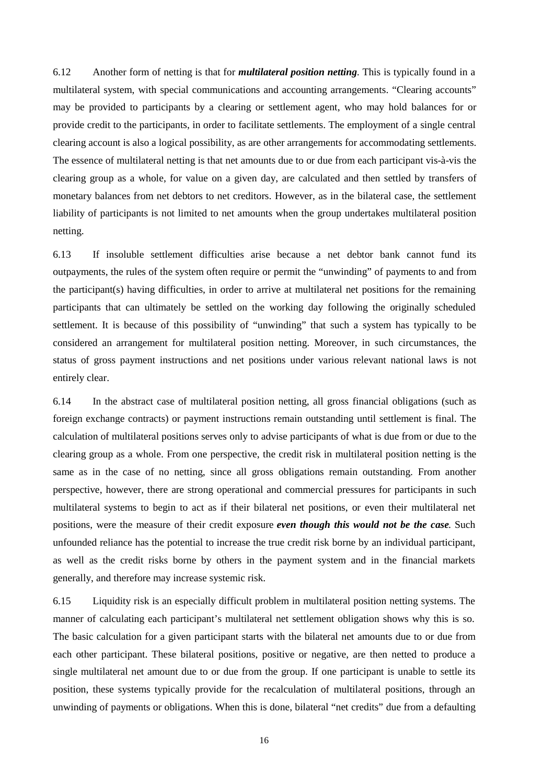6.12 Another form of netting is that for *multilateral position netting*. This is typically found in a multilateral system, with special communications and accounting arrangements. "Clearing accounts" may be provided to participants by a clearing or settlement agent, who may hold balances for or provide credit to the participants, in order to facilitate settlements. The employment of a single central clearing account is also a logical possibility, as are other arrangements for accommodating settlements. The essence of multilateral netting is that net amounts due to or due from each participant vis-à-vis the clearing group as a whole, for value on a given day, are calculated and then settled by transfers of monetary balances from net debtors to net creditors. However, as in the bilateral case, the settlement liability of participants is not limited to net amounts when the group undertakes multilateral position netting.

6.13 If insoluble settlement difficulties arise because a net debtor bank cannot fund its outpayments, the rules of the system often require or permit the "unwinding" of payments to and from the participant(s) having difficulties, in order to arrive at multilateral net positions for the remaining participants that can ultimately be settled on the working day following the originally scheduled settlement. It is because of this possibility of "unwinding" that such a system has typically to be considered an arrangement for multilateral position netting. Moreover, in such circumstances, the status of gross payment instructions and net positions under various relevant national laws is not entirely clear.

6.14 In the abstract case of multilateral position netting, all gross financial obligations (such as foreign exchange contracts) or payment instructions remain outstanding until settlement is final. The calculation of multilateral positions serves only to advise participants of what is due from or due to the clearing group as a whole. From one perspective, the credit risk in multilateral position netting is the same as in the case of no netting, since all gross obligations remain outstanding. From another perspective, however, there are strong operational and commercial pressures for participants in such multilateral systems to begin to act as if their bilateral net positions, or even their multilateral net positions, were the measure of their credit exposure *even though this would not be the case*. Such unfounded reliance has the potential to increase the true credit risk borne by an individual participant, as well as the credit risks borne by others in the payment system and in the financial markets generally, and therefore may increase systemic risk.

6.15 Liquidity risk is an especially difficult problem in multilateral position netting systems. The manner of calculating each participant's multilateral net settlement obligation shows why this is so. The basic calculation for a given participant starts with the bilateral net amounts due to or due from each other participant. These bilateral positions, positive or negative, are then netted to produce a single multilateral net amount due to or due from the group. If one participant is unable to settle its position, these systems typically provide for the recalculation of multilateral positions, through an unwinding of payments or obligations. When this is done, bilateral "net credits" due from a defaulting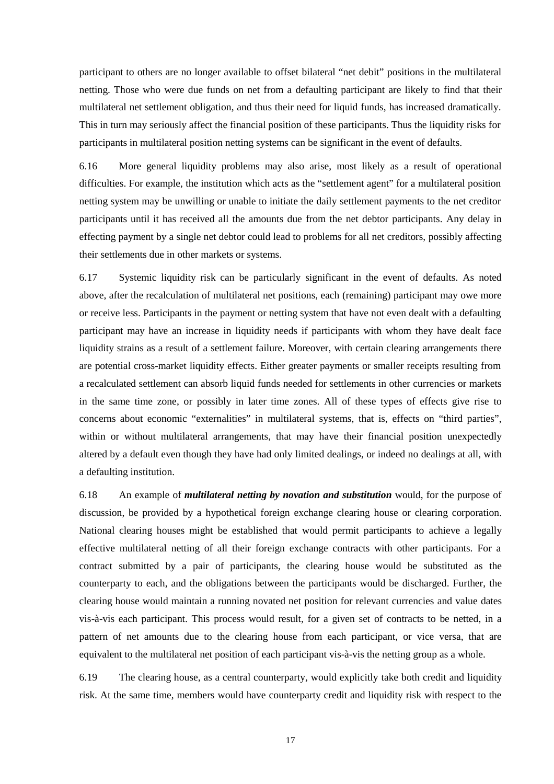participant to others are no longer available to offset bilateral "net debit" positions in the multilateral netting. Those who were due funds on net from a defaulting participant are likely to find that their multilateral net settlement obligation, and thus their need for liquid funds, has increased dramatically. This in turn may seriously affect the financial position of these participants. Thus the liquidity risks for participants in multilateral position netting systems can be significant in the event of defaults.

6.16 More general liquidity problems may also arise, most likely as a result of operational difficulties. For example, the institution which acts as the "settlement agent" for a multilateral position netting system may be unwilling or unable to initiate the daily settlement payments to the net creditor participants until it has received all the amounts due from the net debtor participants. Any delay in effecting payment by a single net debtor could lead to problems for all net creditors, possibly affecting their settlements due in other markets or systems.

6.17 Systemic liquidity risk can be particularly significant in the event of defaults. As noted above, after the recalculation of multilateral net positions, each (remaining) participant may owe more or receive less. Participants in the payment or netting system that have not even dealt with a defaulting participant may have an increase in liquidity needs if participants with whom they have dealt face liquidity strains as a result of a settlement failure. Moreover, with certain clearing arrangements there are potential cross-market liquidity effects. Either greater payments or smaller receipts resulting from a recalculated settlement can absorb liquid funds needed for settlements in other currencies or markets in the same time zone, or possibly in later time zones. All of these types of effects give rise to concerns about economic "externalities" in multilateral systems, that is, effects on "third parties", within or without multilateral arrangements, that may have their financial position unexpectedly altered by a default even though they have had only limited dealings, or indeed no dealings at all, with a defaulting institution.

6.18 An example of *multilateral netting by novation and substitution* would, for the purpose of discussion, be provided by a hypothetical foreign exchange clearing house or clearing corporation. National clearing houses might be established that would permit participants to achieve a legally effective multilateral netting of all their foreign exchange contracts with other participants. For a contract submitted by a pair of participants, the clearing house would be substituted as the counterparty to each, and the obligations between the participants would be discharged. Further, the clearing house would maintain a running novated net position for relevant currencies and value dates vis-à-vis each participant. This process would result, for a given set of contracts to be netted, in a pattern of net amounts due to the clearing house from each participant, or vice versa, that are equivalent to the multilateral net position of each participant vis-à-vis the netting group as a whole.

6.19 The clearing house, as a central counterparty, would explicitly take both credit and liquidity risk. At the same time, members would have counterparty credit and liquidity risk with respect to the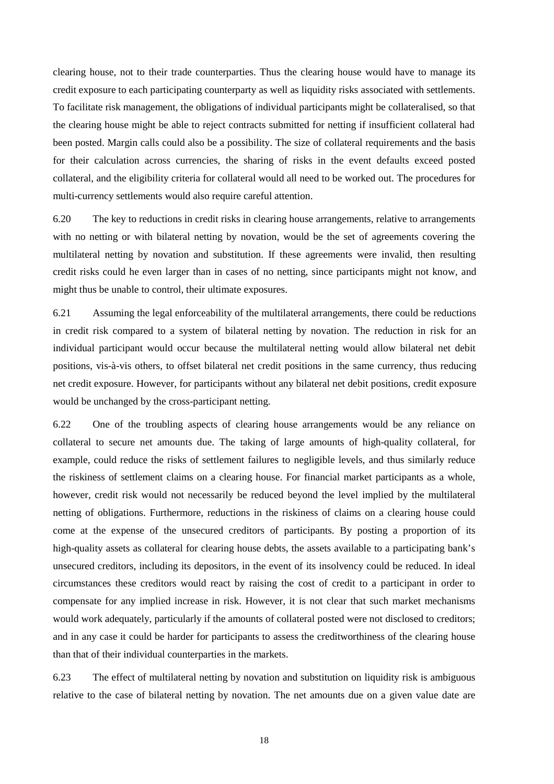clearing house, not to their trade counterparties. Thus the clearing house would have to manage its credit exposure to each participating counterparty as well as liquidity risks associated with settlements. To facilitate risk management, the obligations of individual participants might be collateralised, so that the clearing house might be able to reject contracts submitted for netting if insufficient collateral had been posted. Margin calls could also be a possibility. The size of collateral requirements and the basis for their calculation across currencies, the sharing of risks in the event defaults exceed posted collateral, and the eligibility criteria for collateral would all need to be worked out. The procedures for multi-currency settlements would also require careful attention.

6.20 The key to reductions in credit risks in clearing house arrangements, relative to arrangements with no netting or with bilateral netting by novation, would be the set of agreements covering the multilateral netting by novation and substitution. If these agreements were invalid, then resulting credit risks could he even larger than in cases of no netting, since participants might not know, and might thus be unable to control, their ultimate exposures.

6.21 Assuming the legal enforceability of the multilateral arrangements, there could be reductions in credit risk compared to a system of bilateral netting by novation. The reduction in risk for an individual participant would occur because the multilateral netting would allow bilateral net debit positions, vis-à-vis others, to offset bilateral net credit positions in the same currency, thus reducing net credit exposure. However, for participants without any bilateral net debit positions, credit exposure would be unchanged by the cross-participant netting.

6.22 One of the troubling aspects of clearing house arrangements would be any reliance on collateral to secure net amounts due. The taking of large amounts of high-quality collateral, for example, could reduce the risks of settlement failures to negligible levels, and thus similarly reduce the riskiness of settlement claims on a clearing house. For financial market participants as a whole, however, credit risk would not necessarily be reduced beyond the level implied by the multilateral netting of obligations. Furthermore, reductions in the riskiness of claims on a clearing house could come at the expense of the unsecured creditors of participants. By posting a proportion of its high-quality assets as collateral for clearing house debts, the assets available to a participating bank's unsecured creditors, including its depositors, in the event of its insolvency could be reduced. In ideal circumstances these creditors would react by raising the cost of credit to a participant in order to compensate for any implied increase in risk. However, it is not clear that such market mechanisms would work adequately, particularly if the amounts of collateral posted were not disclosed to creditors; and in any case it could be harder for participants to assess the creditworthiness of the clearing house than that of their individual counterparties in the markets.

6.23 The effect of multilateral netting by novation and substitution on liquidity risk is ambiguous relative to the case of bilateral netting by novation. The net amounts due on a given value date are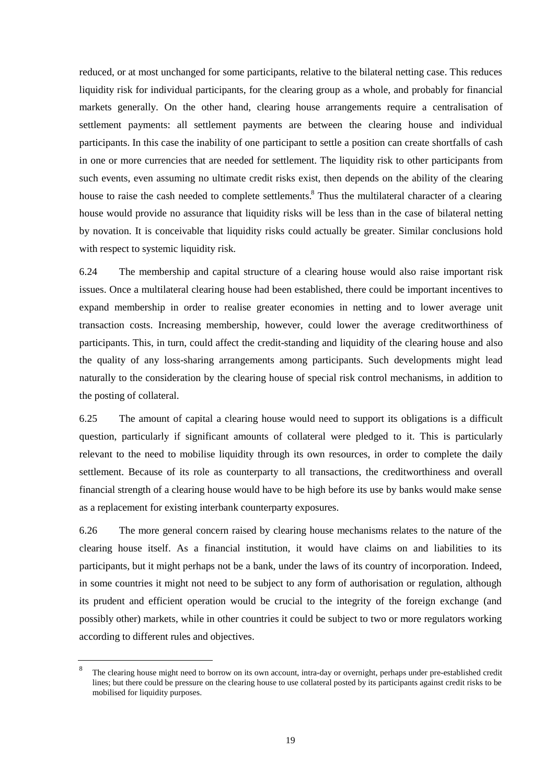reduced, or at most unchanged for some participants, relative to the bilateral netting case. This reduces liquidity risk for individual participants, for the clearing group as a whole, and probably for financial markets generally. On the other hand, clearing house arrangements require a centralisation of settlement payments: all settlement payments are between the clearing house and individual participants. In this case the inability of one participant to settle a position can create shortfalls of cash in one or more currencies that are needed for settlement. The liquidity risk to other participants from such events, even assuming no ultimate credit risks exist, then depends on the ability of the clearing house to raise the cash needed to complete settlements.<sup>8</sup> Thus the multilateral character of a clearing house would provide no assurance that liquidity risks will be less than in the case of bilateral netting by novation. It is conceivable that liquidity risks could actually be greater. Similar conclusions hold with respect to systemic liquidity risk.

6.24 The membership and capital structure of a clearing house would also raise important risk issues. Once a multilateral clearing house had been established, there could be important incentives to expand membership in order to realise greater economies in netting and to lower average unit transaction costs. Increasing membership, however, could lower the average creditworthiness of participants. This, in turn, could affect the credit-standing and liquidity of the clearing house and also the quality of any loss-sharing arrangements among participants. Such developments might lead naturally to the consideration by the clearing house of special risk control mechanisms, in addition to the posting of collateral.

6.25 The amount of capital a clearing house would need to support its obligations is a difficult question, particularly if significant amounts of collateral were pledged to it. This is particularly relevant to the need to mobilise liquidity through its own resources, in order to complete the daily settlement. Because of its role as counterparty to all transactions, the creditworthiness and overall financial strength of a clearing house would have to be high before its use by banks would make sense as a replacement for existing interbank counterparty exposures.

6.26 The more general concern raised by clearing house mechanisms relates to the nature of the clearing house itself. As a financial institution, it would have claims on and liabilities to its participants, but it might perhaps not be a bank, under the laws of its country of incorporation. Indeed, in some countries it might not need to be subject to any form of authorisation or regulation, although its prudent and efficient operation would be crucial to the integrity of the foreign exchange (and possibly other) markets, while in other countries it could be subject to two or more regulators working according to different rules and objectives.

The clearing house might need to borrow on its own account, intra-day or overnight, perhaps under pre-established credit lines; but there could be pressure on the clearing house to use collateral posted by its participants against credit risks to be mobilised for liquidity purposes.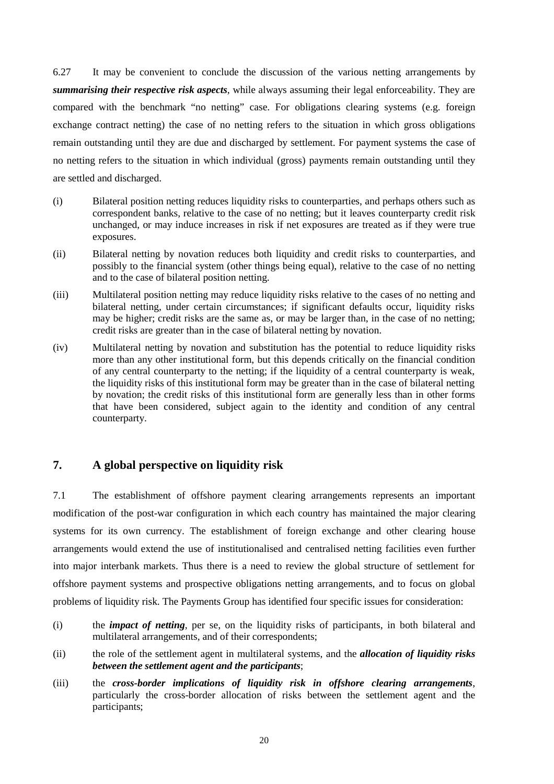6.27 It may be convenient to conclude the discussion of the various netting arrangements by *summarising their respective risk aspects*, while always assuming their legal enforceability. They are compared with the benchmark "no netting" case. For obligations clearing systems (e.g. foreign exchange contract netting) the case of no netting refers to the situation in which gross obligations remain outstanding until they are due and discharged by settlement. For payment systems the case of no netting refers to the situation in which individual (gross) payments remain outstanding until they are settled and discharged.

- (i) Bilateral position netting reduces liquidity risks to counterparties, and perhaps others such as correspondent banks, relative to the case of no netting; but it leaves counterparty credit risk unchanged, or may induce increases in risk if net exposures are treated as if they were true exposures.
- (ii) Bilateral netting by novation reduces both liquidity and credit risks to counterparties, and possibly to the financial system (other things being equal), relative to the case of no netting and to the case of bilateral position netting.
- (iii) Multilateral position netting may reduce liquidity risks relative to the cases of no netting and bilateral netting, under certain circumstances; if significant defaults occur, liquidity risks may be higher; credit risks are the same as, or may be larger than, in the case of no netting; credit risks are greater than in the case of bilateral netting by novation.
- (iv) Multilateral netting by novation and substitution has the potential to reduce liquidity risks more than any other institutional form, but this depends critically on the financial condition of any central counterparty to the netting; if the liquidity of a central counterparty is weak, the liquidity risks of this institutional form may be greater than in the case of bilateral netting by novation; the credit risks of this institutional form are generally less than in other forms that have been considered, subject again to the identity and condition of any central counterparty.

# **7. A global perspective on liquidity risk**

7.1 The establishment of offshore payment clearing arrangements represents an important modification of the post-war configuration in which each country has maintained the major clearing systems for its own currency. The establishment of foreign exchange and other clearing house arrangements would extend the use of institutionalised and centralised netting facilities even further into major interbank markets. Thus there is a need to review the global structure of settlement for offshore payment systems and prospective obligations netting arrangements, and to focus on global problems of liquidity risk. The Payments Group has identified four specific issues for consideration:

- (i) the *impact of netting*, per se, on the liquidity risks of participants, in both bilateral and multilateral arrangements, and of their correspondents;
- (ii) the role of the settlement agent in multilateral systems, and the *allocation of liquidity risks between the settlement agent and the participants*;
- (iii) the *cross-border implications of liquidity risk in offshore clearing arrangements*, particularly the cross-border allocation of risks between the settlement agent and the participants;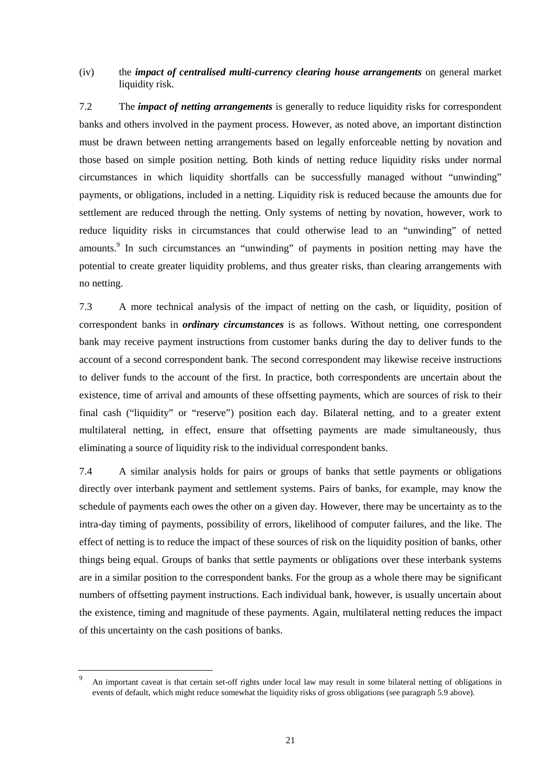### (iv) the *impact of centralised multi-currency clearing house arrangements* on general market liquidity risk.

7.2 The *impact of netting arrangements* is generally to reduce liquidity risks for correspondent banks and others involved in the payment process. However, as noted above, an important distinction must be drawn between netting arrangements based on legally enforceable netting by novation and those based on simple position netting. Both kinds of netting reduce liquidity risks under normal circumstances in which liquidity shortfalls can be successfully managed without "unwinding" payments, or obligations, included in a netting. Liquidity risk is reduced because the amounts due for settlement are reduced through the netting. Only systems of netting by novation, however, work to reduce liquidity risks in circumstances that could otherwise lead to an "unwinding" of netted amounts.<sup>9</sup> In such circumstances an "unwinding" of payments in position netting may have the potential to create greater liquidity problems, and thus greater risks, than clearing arrangements with no netting.

7.3 A more technical analysis of the impact of netting on the cash, or liquidity, position of correspondent banks in *ordinary circumstances* is as follows. Without netting, one correspondent bank may receive payment instructions from customer banks during the day to deliver funds to the account of a second correspondent bank. The second correspondent may likewise receive instructions to deliver funds to the account of the first. In practice, both correspondents are uncertain about the existence, time of arrival and amounts of these offsetting payments, which are sources of risk to their final cash ("liquidity" or "reserve") position each day. Bilateral netting, and to a greater extent multilateral netting, in effect, ensure that offsetting payments are made simultaneously, thus eliminating a source of liquidity risk to the individual correspondent banks.

7.4 A similar analysis holds for pairs or groups of banks that settle payments or obligations directly over interbank payment and settlement systems. Pairs of banks, for example, may know the schedule of payments each owes the other on a given day. However, there may be uncertainty as to the intra-day timing of payments, possibility of errors, likelihood of computer failures, and the like. The effect of netting is to reduce the impact of these sources of risk on the liquidity position of banks, other things being equal. Groups of banks that settle payments or obligations over these interbank systems are in a similar position to the correspondent banks. For the group as a whole there may be significant numbers of offsetting payment instructions. Each individual bank, however, is usually uncertain about the existence, timing and magnitude of these payments. Again, multilateral netting reduces the impact of this uncertainty on the cash positions of banks.

<sup>9</sup> An important caveat is that certain set-off rights under local law may result in some bilateral netting of obligations in events of default, which might reduce somewhat the liquidity risks of gross obligations (see paragraph 5.9 above).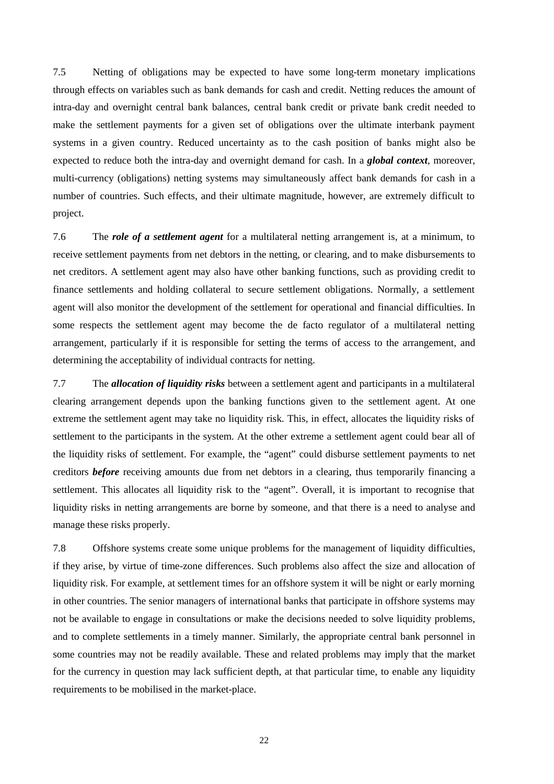7.5 Netting of obligations may be expected to have some long-term monetary implications through effects on variables such as bank demands for cash and credit. Netting reduces the amount of intra-day and overnight central bank balances, central bank credit or private bank credit needed to make the settlement payments for a given set of obligations over the ultimate interbank payment systems in a given country. Reduced uncertainty as to the cash position of banks might also be expected to reduce both the intra-day and overnight demand for cash. In a *global context*, moreover, multi-currency (obligations) netting systems may simultaneously affect bank demands for cash in a number of countries. Such effects, and their ultimate magnitude, however, are extremely difficult to project.

7.6 The *role of a settlement agent* for a multilateral netting arrangement is, at a minimum, to receive settlement payments from net debtors in the netting, or clearing, and to make disbursements to net creditors. A settlement agent may also have other banking functions, such as providing credit to finance settlements and holding collateral to secure settlement obligations. Normally, a settlement agent will also monitor the development of the settlement for operational and financial difficulties. In some respects the settlement agent may become the de facto regulator of a multilateral netting arrangement, particularly if it is responsible for setting the terms of access to the arrangement, and determining the acceptability of individual contracts for netting.

7.7 The *allocation of liquidity risks* between a settlement agent and participants in a multilateral clearing arrangement depends upon the banking functions given to the settlement agent. At one extreme the settlement agent may take no liquidity risk. This, in effect, allocates the liquidity risks of settlement to the participants in the system. At the other extreme a settlement agent could bear all of the liquidity risks of settlement. For example, the "agent" could disburse settlement payments to net creditors *before* receiving amounts due from net debtors in a clearing, thus temporarily financing a settlement. This allocates all liquidity risk to the "agent". Overall, it is important to recognise that liquidity risks in netting arrangements are borne by someone, and that there is a need to analyse and manage these risks properly.

7.8 Offshore systems create some unique problems for the management of liquidity difficulties, if they arise, by virtue of time-zone differences. Such problems also affect the size and allocation of liquidity risk. For example, at settlement times for an offshore system it will be night or early morning in other countries. The senior managers of international banks that participate in offshore systems may not be available to engage in consultations or make the decisions needed to solve liquidity problems, and to complete settlements in a timely manner. Similarly, the appropriate central bank personnel in some countries may not be readily available. These and related problems may imply that the market for the currency in question may lack sufficient depth, at that particular time, to enable any liquidity requirements to be mobilised in the market-place.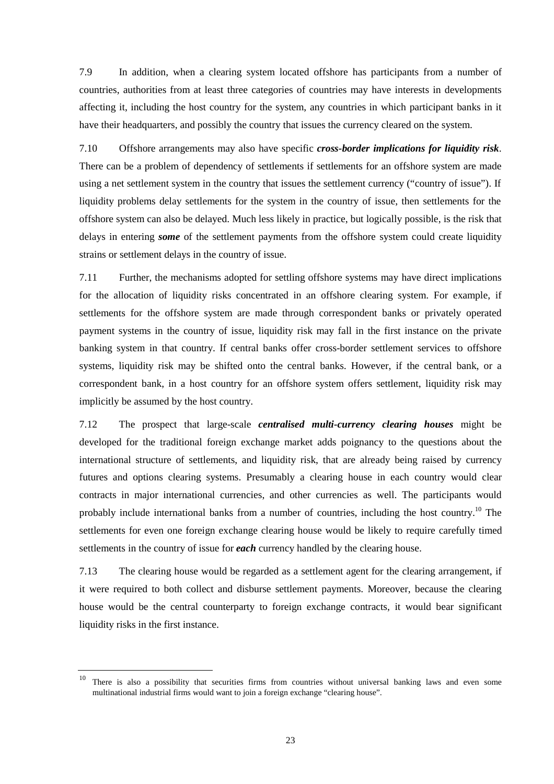7.9 In addition, when a clearing system located offshore has participants from a number of countries, authorities from at least three categories of countries may have interests in developments affecting it, including the host country for the system, any countries in which participant banks in it have their headquarters, and possibly the country that issues the currency cleared on the system.

7.10 Offshore arrangements may also have specific *cross-border implications for liquidity risk*. There can be a problem of dependency of settlements if settlements for an offshore system are made using a net settlement system in the country that issues the settlement currency ("country of issue"). If liquidity problems delay settlements for the system in the country of issue, then settlements for the offshore system can also be delayed. Much less likely in practice, but logically possible, is the risk that delays in entering *some* of the settlement payments from the offshore system could create liquidity strains or settlement delays in the country of issue.

7.11 Further, the mechanisms adopted for settling offshore systems may have direct implications for the allocation of liquidity risks concentrated in an offshore clearing system. For example, if settlements for the offshore system are made through correspondent banks or privately operated payment systems in the country of issue, liquidity risk may fall in the first instance on the private banking system in that country. If central banks offer cross-border settlement services to offshore systems, liquidity risk may be shifted onto the central banks. However, if the central bank, or a correspondent bank, in a host country for an offshore system offers settlement, liquidity risk may implicitly be assumed by the host country.

7.12 The prospect that large-scale *centralised multi-currency clearing houses* might be developed for the traditional foreign exchange market adds poignancy to the questions about the international structure of settlements, and liquidity risk, that are already being raised by currency futures and options clearing systems. Presumably a clearing house in each country would clear contracts in major international currencies, and other currencies as well. The participants would probably include international banks from a number of countries, including the host country.10 The settlements for even one foreign exchange clearing house would be likely to require carefully timed settlements in the country of issue for *each* currency handled by the clearing house.

7.13 The clearing house would be regarded as a settlement agent for the clearing arrangement, if it were required to both collect and disburse settlement payments. Moreover, because the clearing house would be the central counterparty to foreign exchange contracts, it would bear significant liquidity risks in the first instance.

<sup>&</sup>lt;sup>10</sup> There is also a possibility that securities firms from countries without universal banking laws and even some multinational industrial firms would want to join a foreign exchange "clearing house".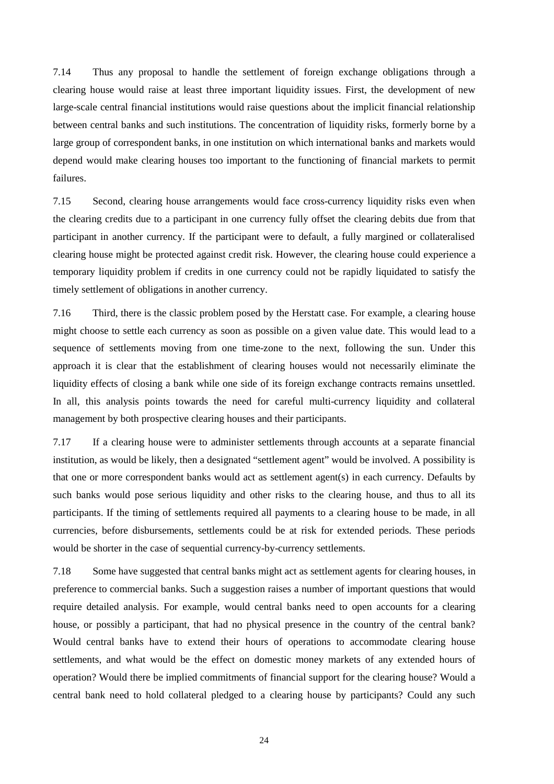7.14 Thus any proposal to handle the settlement of foreign exchange obligations through a clearing house would raise at least three important liquidity issues. First, the development of new large-scale central financial institutions would raise questions about the implicit financial relationship between central banks and such institutions. The concentration of liquidity risks, formerly borne by a large group of correspondent banks, in one institution on which international banks and markets would depend would make clearing houses too important to the functioning of financial markets to permit failures.

7.15 Second, clearing house arrangements would face cross-currency liquidity risks even when the clearing credits due to a participant in one currency fully offset the clearing debits due from that participant in another currency. If the participant were to default, a fully margined or collateralised clearing house might be protected against credit risk. However, the clearing house could experience a temporary liquidity problem if credits in one currency could not be rapidly liquidated to satisfy the timely settlement of obligations in another currency.

7.16 Third, there is the classic problem posed by the Herstatt case. For example, a clearing house might choose to settle each currency as soon as possible on a given value date. This would lead to a sequence of settlements moving from one time-zone to the next, following the sun. Under this approach it is clear that the establishment of clearing houses would not necessarily eliminate the liquidity effects of closing a bank while one side of its foreign exchange contracts remains unsettled. In all, this analysis points towards the need for careful multi-currency liquidity and collateral management by both prospective clearing houses and their participants.

7.17 If a clearing house were to administer settlements through accounts at a separate financial institution, as would be likely, then a designated "settlement agent" would be involved. A possibility is that one or more correspondent banks would act as settlement agent(s) in each currency. Defaults by such banks would pose serious liquidity and other risks to the clearing house, and thus to all its participants. If the timing of settlements required all payments to a clearing house to be made, in all currencies, before disbursements, settlements could be at risk for extended periods. These periods would be shorter in the case of sequential currency-by-currency settlements.

7.18 Some have suggested that central banks might act as settlement agents for clearing houses, in preference to commercial banks. Such a suggestion raises a number of important questions that would require detailed analysis. For example, would central banks need to open accounts for a clearing house, or possibly a participant, that had no physical presence in the country of the central bank? Would central banks have to extend their hours of operations to accommodate clearing house settlements, and what would be the effect on domestic money markets of any extended hours of operation? Would there be implied commitments of financial support for the clearing house? Would a central bank need to hold collateral pledged to a clearing house by participants? Could any such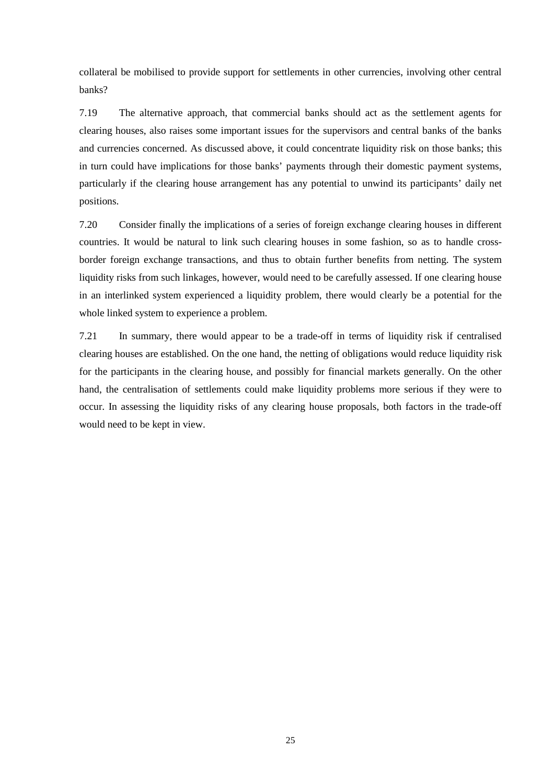collateral be mobilised to provide support for settlements in other currencies, involving other central banks?

7.19 The alternative approach, that commercial banks should act as the settlement agents for clearing houses, also raises some important issues for the supervisors and central banks of the banks and currencies concerned. As discussed above, it could concentrate liquidity risk on those banks; this in turn could have implications for those banks' payments through their domestic payment systems, particularly if the clearing house arrangement has any potential to unwind its participants' daily net positions.

7.20 Consider finally the implications of a series of foreign exchange clearing houses in different countries. It would be natural to link such clearing houses in some fashion, so as to handle crossborder foreign exchange transactions, and thus to obtain further benefits from netting. The system liquidity risks from such linkages, however, would need to be carefully assessed. If one clearing house in an interlinked system experienced a liquidity problem, there would clearly be a potential for the whole linked system to experience a problem.

7.21 In summary, there would appear to be a trade-off in terms of liquidity risk if centralised clearing houses are established. On the one hand, the netting of obligations would reduce liquidity risk for the participants in the clearing house, and possibly for financial markets generally. On the other hand, the centralisation of settlements could make liquidity problems more serious if they were to occur. In assessing the liquidity risks of any clearing house proposals, both factors in the trade-off would need to be kept in view.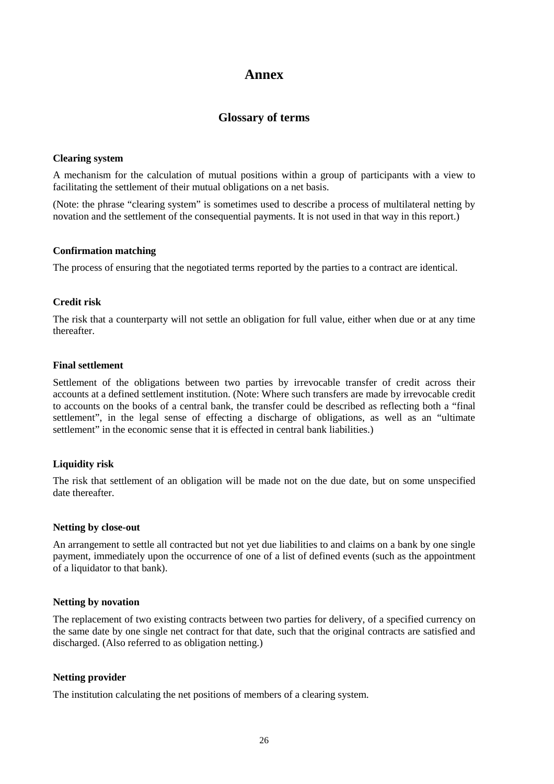# **Annex**

# **Glossary of terms**

#### **Clearing system**

A mechanism for the calculation of mutual positions within a group of participants with a view to facilitating the settlement of their mutual obligations on a net basis.

(Note: the phrase "clearing system" is sometimes used to describe a process of multilateral netting by novation and the settlement of the consequential payments. It is not used in that way in this report.)

#### **Confirmation matching**

The process of ensuring that the negotiated terms reported by the parties to a contract are identical.

#### **Credit risk**

The risk that a counterparty will not settle an obligation for full value, either when due or at any time thereafter.

#### **Final settlement**

Settlement of the obligations between two parties by irrevocable transfer of credit across their accounts at a defined settlement institution. (Note: Where such transfers are made by irrevocable credit to accounts on the books of a central bank, the transfer could be described as reflecting both a "final settlement", in the legal sense of effecting a discharge of obligations, as well as an "ultimate settlement" in the economic sense that it is effected in central bank liabilities.)

#### **Liquidity risk**

The risk that settlement of an obligation will be made not on the due date, but on some unspecified date thereafter.

#### **Netting by close-out**

An arrangement to settle all contracted but not yet due liabilities to and claims on a bank by one single payment, immediately upon the occurrence of one of a list of defined events (such as the appointment of a liquidator to that bank).

#### **Netting by novation**

The replacement of two existing contracts between two parties for delivery, of a specified currency on the same date by one single net contract for that date, such that the original contracts are satisfied and discharged. (Also referred to as obligation netting.)

#### **Netting provider**

The institution calculating the net positions of members of a clearing system.